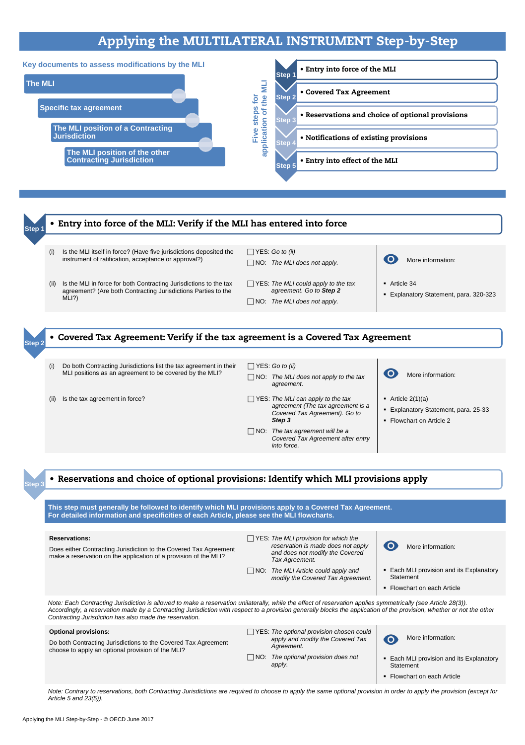Applying the MLI Step-by-Step - © OECD June 2017

# Applying the MULTILATERAL INSTRUMENT Step-by-Step

O More information:

- Article  $2(1)(a)$
- Explanatory Statement, para. 25-33
- Flowchart on Article 2

MLI positions as an agreement to be covered by the MLI?

- NO: *The MLI does not apply to the tax agreement.*
- (ii) Is the tax agreement in force? YES: *The MLI can apply to the tax agreement (The tax agreement is a Covered Tax Agreement). Go to Step 3*

NO: *The tax agreement will be a* 

*Covered Tax Agreement after entry* 

*into force.*

**This step must generally be followed to identify which MLI provisions apply to a Covered Tax Agreement. For detailed information and specificities of each Article, please see the MLI flowcharts.**

#### **Reservations:**

Does either Contracting Jurisdiction to the Covered Tax Agreement make a reservation on the application of a provision of the MLI?



 YES: *The MLI provision for which the reservation is made does not apply and does not modify the Covered Tax Agreement.*



### NO: *The MLI Article could apply and modify the Covered Tax Agreement.*

- **Each MLI provision and its Explanatory Statement**
- Flowchart on each Article



*Note: Each Contracting Jurisdiction is allowed to make a reservation unilaterally, while the effect of reservation applies symmetrically (see Article 28(3)). Accordingly, a reservation made by a Contracting Jurisdiction with respect to a provision generally blocks the application of the provision, whether or not the other Contracting Jurisdiction has also made the reservation.*

#### **Optional provisions:**

Do both Contracting Jurisdictions to the Covered Tax Agreement choose to apply an optional provision of the MLI?

- YES: *The optional provision chosen could apply and modify the Covered Tax Agreement.*
- NO: *The optional provision does not apply.*



More information:

- **Each MLI provision and its Explanatory Statement**
- **Flowchart on each Article**

*Note: Contrary to reservations, both Contracting Jurisdictions are required to choose to apply the same optional provision in order to apply the provision (except for Article 5 and 23(5)).*

- **Step 3**
- Reservations and choice of optional provisions: Identify which MLI provisions apply